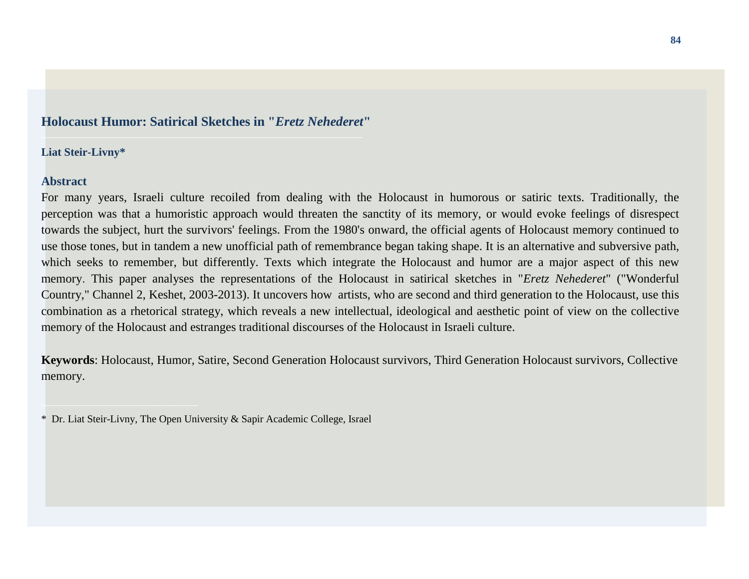# **Holocaust Humor: Satirical Sketches in "***Eretz Nehederet***"**

#### **Liat Steir-Livny\***

## **Abstract**

For many years, Israeli culture recoiled from dealing with the Holocaust in humorous or satiric texts. Traditionally, the perception was that a humoristic approach would threaten the sanctity of its memory, or would evoke feelings of disrespect towards the subject, hurt the survivors' feelings. From the 1980's onward, the official agents of Holocaust memory continued to use those tones, but in tandem a new unofficial path of remembrance began taking shape. It is an alternative and subversive path, which seeks to remember, but differently. Texts which integrate the Holocaust and humor are a major aspect of this new memory. This paper analyses the representations of the Holocaust in satirical sketches in "*Eretz Nehederet*" ("Wonderful Country," Channel 2, Keshet, 2003-2013). It uncovers how artists, who are second and third generation to the Holocaust, use this combination as a rhetorical strategy, which reveals a new intellectual, ideological and aesthetic point of view on the collective memory of the Holocaust and estranges traditional discourses of the Holocaust in Israeli culture.

**Keywords**: Holocaust, Humor, Satire, Second Generation Holocaust survivors, Third Generation Holocaust survivors, Collective memory.

<sup>\*</sup> Dr. Liat Steir-Livny, The Open University & Sapir Academic College, Israel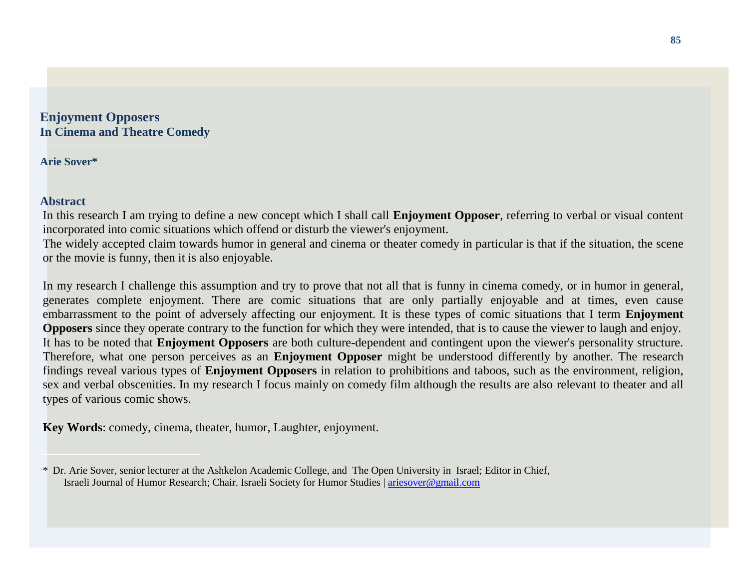#### **Enjoyment Opposers In Cinema and Theatre Comedy \_\_\_\_\_\_\_\_\_\_\_\_\_\_\_\_\_\_\_\_\_\_\_\_\_\_\_\_\_\_\_\_\_\_\_\_\_\_\_\_\_**

**Arie Sover\***

# **Abstract**

In this research I am trying to define a new concept which I shall call **Enjoyment Opposer**, referring to verbal or visual content incorporated into comic situations which offend or disturb the viewer's enjoyment.

The widely accepted claim towards humor in general and cinema or theater comedy in particular is that if the situation, the scene or the movie is funny, then it is also enjoyable.

In my research I challenge this assumption and try to prove that not all that is funny in cinema comedy, or in humor in general, generates complete enjoyment. There are comic situations that are only partially enjoyable and at times, even cause embarrassment to the point of adversely affecting our enjoyment. It is these types of comic situations that I term **Enjoyment Opposers** since they operate contrary to the function for which they were intended, that is to cause the viewer to laugh and enjoy. It has to be noted that **Enjoyment Opposers** are both culture-dependent and contingent upon the viewer's personality structure. Therefore, what one person perceives as an **Enjoyment Opposer** might be understood differently by another. The research findings reveal various types of **Enjoyment Opposers** in relation to prohibitions and taboos, such as the environment, religion, sex and verbal obscenities. In my research I focus mainly on comedy film although the results are also relevant to theater and all types of various comic shows.

**Key Words**: comedy, cinema, theater, humor, Laughter, enjoyment.

<sup>\*</sup> Dr. Arie Sover, senior lecturer at the Ashkelon Academic College, and The Open University in Israel; Editor in Chief, Israeli Journal of Humor Research; Chair. Israeli Society for Humor Studies | [ariesover@gmail.com](mailto:ariesover@gmail.com)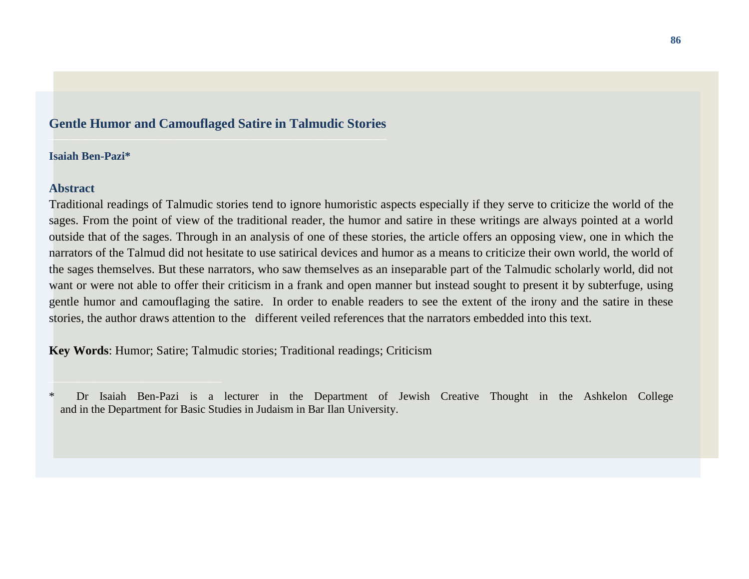## **Gentle Humor and Camouflaged Satire in Talmudic Stories**

#### **Isaiah Ben-Pazi\***

## **Abstract**

Traditional readings of Talmudic stories tend to ignore humoristic aspects especially if they serve to criticize the world of the sages. From the point of view of the traditional reader, the humor and satire in these writings are always pointed at a world outside that of the sages. Through in an analysis of one of these stories, the article offers an opposing view, one in which the narrators of the Talmud did not hesitate to use satirical devices and humor as a means to criticize their own world, the world of the sages themselves. But these narrators, who saw themselves as an inseparable part of the Talmudic scholarly world, did not want or were not able to offer their criticism in a frank and open manner but instead sought to present it by subterfuge, using gentle humor and camouflaging the satire. In order to enable readers to see the extent of the irony and the satire in these stories, the author draws attention to the different veiled references that the narrators embedded into this text.

**Key Words**: Humor; Satire; Talmudic stories; Traditional readings; Criticism

<sup>\*</sup> Dr Isaiah Ben-Pazi is a lecturer in the Department of Jewish Creative Thought in the Ashkelon College and in the Department for Basic Studies in Judaism in Bar Ilan University.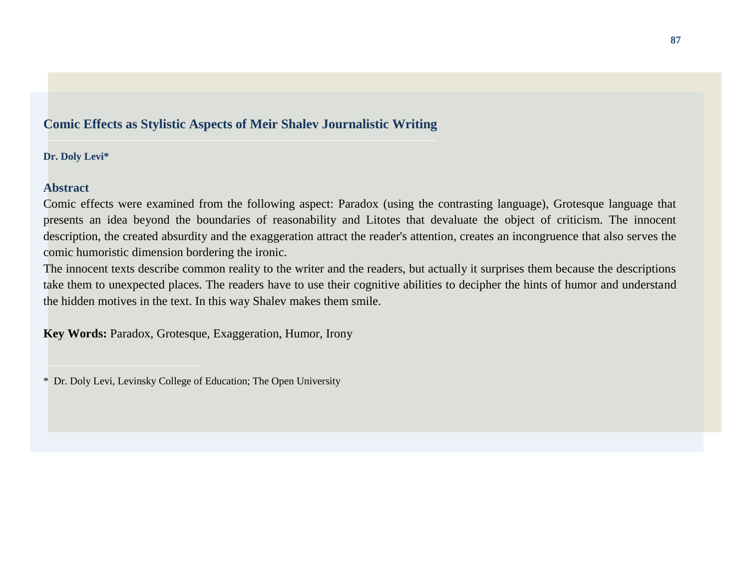# **Comic Effects as Stylistic Aspects of Meir Shalev Journalistic Writing**

**Dr. Doly Levi\***

# **Abstract**

Comic effects were examined from the following aspect: Paradox (using the contrasting language), Grotesque language that presents an idea beyond the boundaries of reasonability and Litotes that devaluate the object of criticism. The innocent description, the created absurdity and the exaggeration attract the reader's attention, creates an incongruence that also serves the comic humoristic dimension bordering the ironic.

The innocent texts describe common reality to the writer and the readers, but actually it surprises them because the descriptions take them to unexpected places. The readers have to use their cognitive abilities to decipher the hints of humor and understand the hidden motives in the text. In this way Shalev makes them smile.

**Key Words:** Paradox, Grotesque, Exaggeration, Humor, Irony

<sup>\*</sup> Dr. Doly Levi, Levinsky College of Education; The Open University